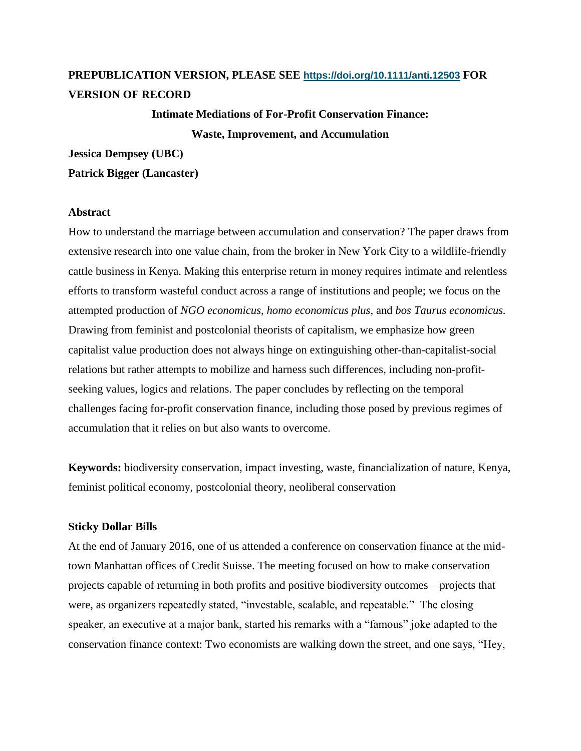# **PREPUBLICATION VERSION, PLEASE SEE <https://doi.org/10.1111/anti.12503> FOR VERSION OF RECORD**

# **Intimate Mediations of For-Profit Conservation Finance: Waste, Improvement, and Accumulation**

**Jessica Dempsey (UBC) Patrick Bigger (Lancaster)**

## **Abstract**

How to understand the marriage between accumulation and conservation? The paper draws from extensive research into one value chain, from the broker in New York City to a wildlife-friendly cattle business in Kenya. Making this enterprise return in money requires intimate and relentless efforts to transform wasteful conduct across a range of institutions and people; we focus on the attempted production of *NGO economicus*, *homo economicus plus*, and *bos Taurus economicus.*  Drawing from feminist and postcolonial theorists of capitalism, we emphasize how green capitalist value production does not always hinge on extinguishing other-than-capitalist-social relations but rather attempts to mobilize and harness such differences, including non-profitseeking values, logics and relations. The paper concludes by reflecting on the temporal challenges facing for-profit conservation finance, including those posed by previous regimes of accumulation that it relies on but also wants to overcome.

**Keywords:** biodiversity conservation, impact investing, waste, financialization of nature, Kenya, feminist political economy, postcolonial theory, neoliberal conservation

# **Sticky Dollar Bills**

At the end of January 2016, one of us attended a conference on conservation finance at the midtown Manhattan offices of Credit Suisse. The meeting focused on how to make conservation projects capable of returning in both profits and positive biodiversity outcomes—projects that were, as organizers repeatedly stated, "investable, scalable, and repeatable." The closing speaker, an executive at a major bank, started his remarks with a "famous" joke adapted to the conservation finance context: Two economists are walking down the street, and one says, "Hey,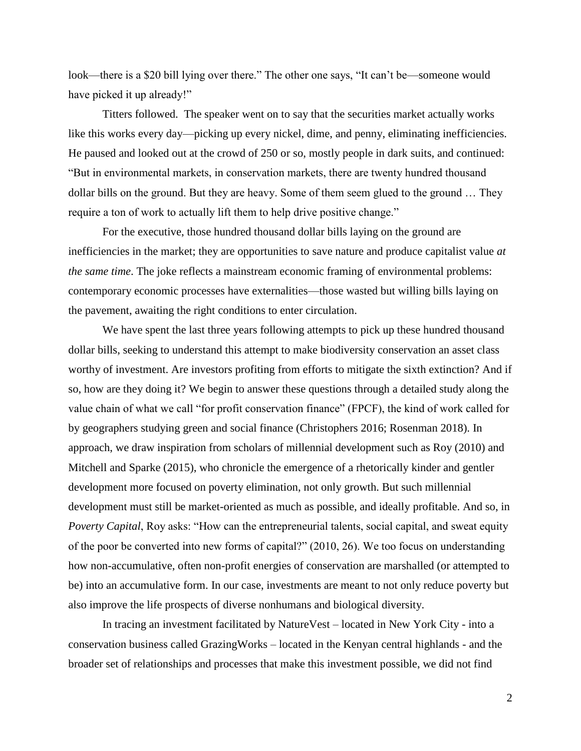look—there is a \$20 bill lying over there." The other one says, "It can't be—someone would have picked it up already!"

Titters followed. The speaker went on to say that the securities market actually works like this works every day—picking up every nickel, dime, and penny, eliminating inefficiencies*.*  He paused and looked out at the crowd of 250 or so, mostly people in dark suits, and continued: "But in environmental markets, in conservation markets, there are twenty hundred thousand dollar bills on the ground. But they are heavy. Some of them seem glued to the ground … They require a ton of work to actually lift them to help drive positive change."

For the executive, those hundred thousand dollar bills laying on the ground are inefficiencies in the market; they are opportunities to save nature and produce capitalist value *at the same time*. The joke reflects a mainstream economic framing of environmental problems: contemporary economic processes have externalities—those wasted but willing bills laying on the pavement, awaiting the right conditions to enter circulation.

We have spent the last three years following attempts to pick up these hundred thousand dollar bills, seeking to understand this attempt to make biodiversity conservation an asset class worthy of investment. Are investors profiting from efforts to mitigate the sixth extinction? And if so, how are they doing it? We begin to answer these questions through a detailed study along the value chain of what we call "for profit conservation finance" (FPCF), the kind of work called for by geographers studying green and social finance (Christophers 2016; Rosenman 2018). In approach, we draw inspiration from scholars of millennial development such as Roy (2010) and Mitchell and Sparke (2015), who chronicle the emergence of a rhetorically kinder and gentler development more focused on poverty elimination, not only growth. But such millennial development must still be market-oriented as much as possible, and ideally profitable. And so, in *Poverty Capital*, Roy asks: "How can the entrepreneurial talents, social capital, and sweat equity of the poor be converted into new forms of capital?" (2010, 26). We too focus on understanding how non-accumulative, often non-profit energies of conservation are marshalled (or attempted to be) into an accumulative form. In our case, investments are meant to not only reduce poverty but also improve the life prospects of diverse nonhumans and biological diversity.

In tracing an investment facilitated by NatureVest – located in New York City - into a conservation business called GrazingWorks – located in the Kenyan central highlands - and the broader set of relationships and processes that make this investment possible, we did not find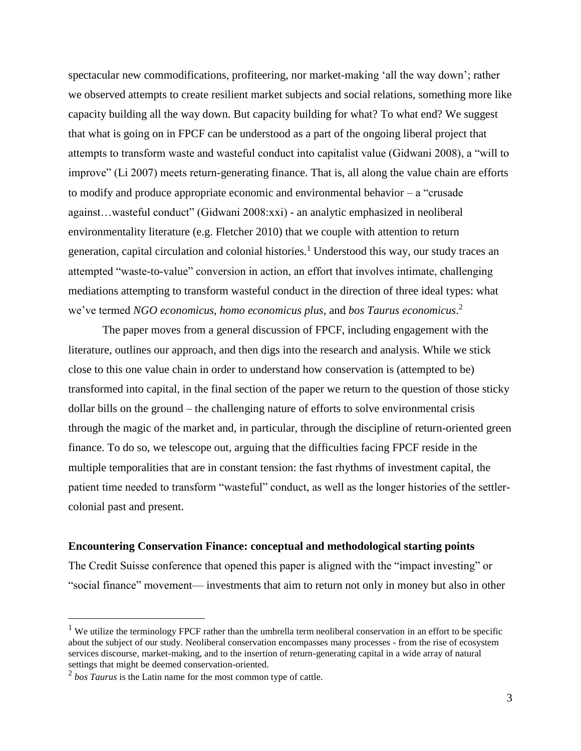spectacular new commodifications, profiteering, nor market-making 'all the way down'; rather we observed attempts to create resilient market subjects and social relations, something more like capacity building all the way down. But capacity building for what? To what end? We suggest that what is going on in FPCF can be understood as a part of the ongoing liberal project that attempts to transform waste and wasteful conduct into capitalist value (Gidwani 2008), a "will to improve" (Li 2007) meets return-generating finance. That is, all along the value chain are efforts to modify and produce appropriate economic and environmental behavior – a "crusade against…wasteful conduct" (Gidwani 2008:xxi) - an analytic emphasized in neoliberal environmentality literature (e.g. Fletcher 2010) that we couple with attention to return generation, capital circulation and colonial histories.<sup>1</sup> Understood this way, our study traces an attempted "waste-to-value" conversion in action, an effort that involves intimate, challenging mediations attempting to transform wasteful conduct in the direction of three ideal types: what we've termed *NGO economicus, homo economicus plus,* and *bos Taurus economicus*. 2

The paper moves from a general discussion of FPCF, including engagement with the literature, outlines our approach, and then digs into the research and analysis. While we stick close to this one value chain in order to understand how conservation is (attempted to be) transformed into capital, in the final section of the paper we return to the question of those sticky dollar bills on the ground – the challenging nature of efforts to solve environmental crisis through the magic of the market and, in particular, through the discipline of return-oriented green finance. To do so, we telescope out, arguing that the difficulties facing FPCF reside in the multiple temporalities that are in constant tension: the fast rhythms of investment capital, the patient time needed to transform "wasteful" conduct, as well as the longer histories of the settlercolonial past and present.

#### **Encountering Conservation Finance: conceptual and methodological starting points**

The Credit Suisse conference that opened this paper is aligned with the "impact investing" or "social finance" movement— investments that aim to return not only in money but also in other

 $\overline{a}$ 

<sup>&</sup>lt;sup>1</sup> We utilize the terminology FPCF rather than the umbrella term neoliberal conservation in an effort to be specific about the subject of our study. Neoliberal conservation encompasses many processes - from the rise of ecosystem services discourse, market-making, and to the insertion of return-generating capital in a wide array of natural settings that might be deemed conservation-oriented.

<sup>2</sup> *bos Taurus* is the Latin name for the most common type of cattle.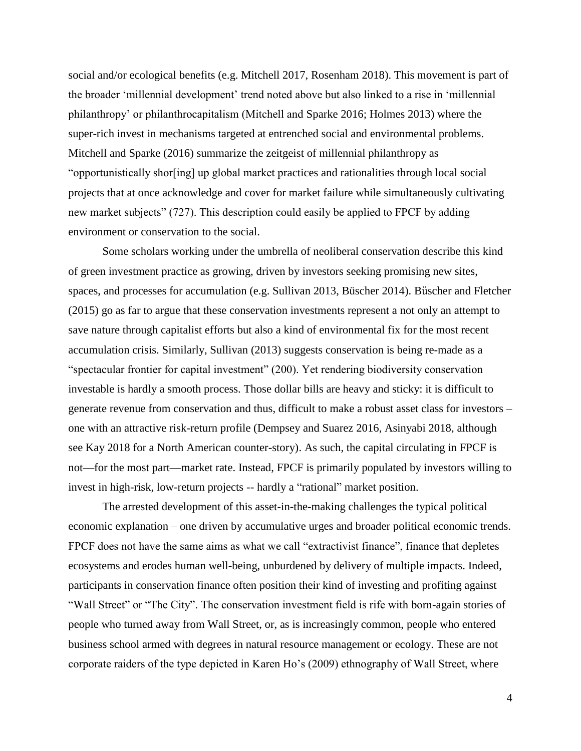social and/or ecological benefits (e.g. Mitchell 2017, Rosenham 2018). This movement is part of the broader 'millennial development' trend noted above but also linked to a rise in 'millennial philanthropy' or philanthrocapitalism (Mitchell and Sparke 2016; Holmes 2013) where the super-rich invest in mechanisms targeted at entrenched social and environmental problems. Mitchell and Sparke (2016) summarize the zeitgeist of millennial philanthropy as "opportunistically shor[ing] up global market practices and rationalities through local social projects that at once acknowledge and cover for market failure while simultaneously cultivating new market subjects" (727). This description could easily be applied to FPCF by adding environment or conservation to the social.

Some scholars working under the umbrella of neoliberal conservation describe this kind of green investment practice as growing, driven by investors seeking promising new sites, spaces, and processes for accumulation (e.g. Sullivan 2013, Büscher 2014). Büscher and Fletcher (2015) go as far to argue that these conservation investments represent a not only an attempt to save nature through capitalist efforts but also a kind of environmental fix for the most recent accumulation crisis. Similarly, Sullivan (2013) suggests conservation is being re-made as a "spectacular frontier for capital investment" (200). Yet rendering biodiversity conservation investable is hardly a smooth process. Those dollar bills are heavy and sticky: it is difficult to generate revenue from conservation and thus, difficult to make a robust asset class for investors – one with an attractive risk-return profile (Dempsey and Suarez 2016, Asinyabi 2018, although see Kay 2018 for a North American counter-story). As such, the capital circulating in FPCF is not—for the most part—market rate. Instead, FPCF is primarily populated by investors willing to invest in high-risk, low-return projects -- hardly a "rational" market position.

The arrested development of this asset-in-the-making challenges the typical political economic explanation – one driven by accumulative urges and broader political economic trends. FPCF does not have the same aims as what we call "extractivist finance", finance that depletes ecosystems and erodes human well-being, unburdened by delivery of multiple impacts. Indeed, participants in conservation finance often position their kind of investing and profiting against "Wall Street" or "The City". The conservation investment field is rife with born-again stories of people who turned away from Wall Street, or, as is increasingly common, people who entered business school armed with degrees in natural resource management or ecology. These are not corporate raiders of the type depicted in Karen Ho's (2009) ethnography of Wall Street, where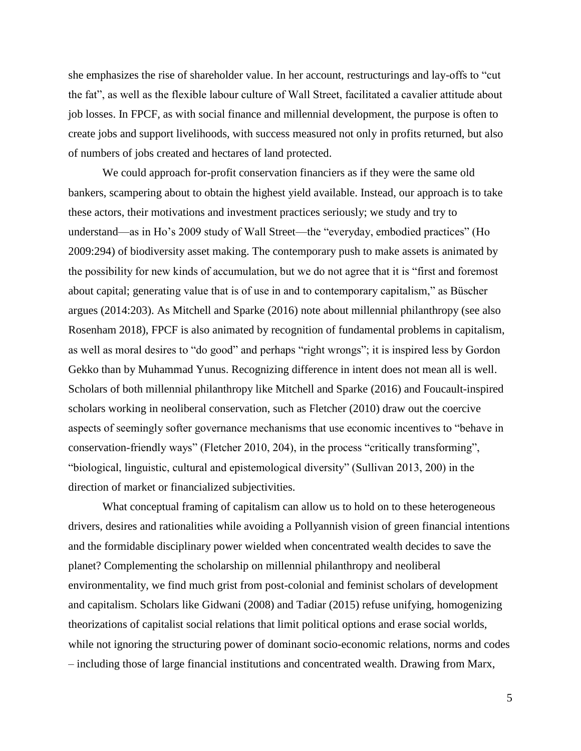she emphasizes the rise of shareholder value. In her account, restructurings and lay-offs to "cut the fat", as well as the flexible labour culture of Wall Street, facilitated a cavalier attitude about job losses. In FPCF, as with social finance and millennial development, the purpose is often to create jobs and support livelihoods, with success measured not only in profits returned, but also of numbers of jobs created and hectares of land protected.

We could approach for-profit conservation financiers as if they were the same old bankers, scampering about to obtain the highest yield available. Instead, our approach is to take these actors, their motivations and investment practices seriously; we study and try to understand—as in Ho's 2009 study of Wall Street—the "everyday, embodied practices" (Ho 2009:294) of biodiversity asset making. The contemporary push to make assets is animated by the possibility for new kinds of accumulation, but we do not agree that it is "first and foremost about capital; generating value that is of use in and to contemporary capitalism," as Büscher argues (2014:203). As Mitchell and Sparke (2016) note about millennial philanthropy (see also Rosenham 2018), FPCF is also animated by recognition of fundamental problems in capitalism, as well as moral desires to "do good" and perhaps "right wrongs"; it is inspired less by Gordon Gekko than by Muhammad Yunus. Recognizing difference in intent does not mean all is well. Scholars of both millennial philanthropy like Mitchell and Sparke (2016) and Foucault-inspired scholars working in neoliberal conservation, such as Fletcher (2010) draw out the coercive aspects of seemingly softer governance mechanisms that use economic incentives to "behave in conservation-friendly ways" (Fletcher 2010, 204), in the process "critically transforming", "biological, linguistic, cultural and epistemological diversity" (Sullivan 2013, 200) in the direction of market or financialized subjectivities.

What conceptual framing of capitalism can allow us to hold on to these heterogeneous drivers, desires and rationalities while avoiding a Pollyannish vision of green financial intentions and the formidable disciplinary power wielded when concentrated wealth decides to save the planet? Complementing the scholarship on millennial philanthropy and neoliberal environmentality, we find much grist from post-colonial and feminist scholars of development and capitalism. Scholars like Gidwani (2008) and Tadiar (2015) refuse unifying, homogenizing theorizations of capitalist social relations that limit political options and erase social worlds, while not ignoring the structuring power of dominant socio-economic relations, norms and codes – including those of large financial institutions and concentrated wealth. Drawing from Marx,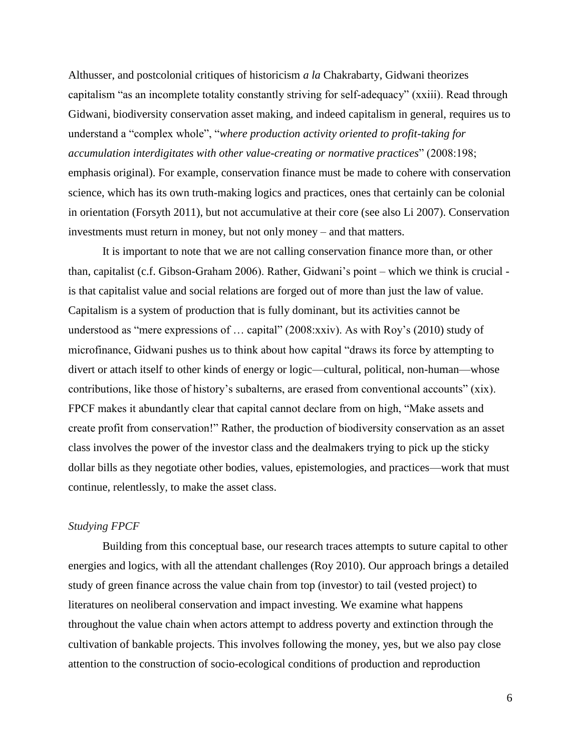Althusser, and postcolonial critiques of historicism *a la* Chakrabarty, Gidwani theorizes capitalism "as an incomplete totality constantly striving for self-adequacy" (xxiii). Read through Gidwani, biodiversity conservation asset making, and indeed capitalism in general, requires us to understand a "complex whole", "*where production activity oriented to profit-taking for accumulation interdigitates with other value-creating or normative practices*" (2008:198; emphasis original). For example, conservation finance must be made to cohere with conservation science, which has its own truth-making logics and practices, ones that certainly can be colonial in orientation (Forsyth 2011), but not accumulative at their core (see also Li 2007). Conservation investments must return in money, but not only money – and that matters.

It is important to note that we are not calling conservation finance more than, or other than, capitalist (c.f. Gibson-Graham 2006). Rather, Gidwani's point – which we think is crucial is that capitalist value and social relations are forged out of more than just the law of value. Capitalism is a system of production that is fully dominant, but its activities cannot be understood as "mere expressions of … capital" (2008:xxiv). As with Roy's (2010) study of microfinance, Gidwani pushes us to think about how capital "draws its force by attempting to divert or attach itself to other kinds of energy or logic—cultural, political, non-human—whose contributions, like those of history's subalterns, are erased from conventional accounts" (xix). FPCF makes it abundantly clear that capital cannot declare from on high, "Make assets and create profit from conservation!" Rather, the production of biodiversity conservation as an asset class involves the power of the investor class and the dealmakers trying to pick up the sticky dollar bills as they negotiate other bodies, values, epistemologies, and practices—work that must continue, relentlessly, to make the asset class.

# *Studying FPCF*

Building from this conceptual base, our research traces attempts to suture capital to other energies and logics, with all the attendant challenges (Roy 2010). Our approach brings a detailed study of green finance across the value chain from top (investor) to tail (vested project) to literatures on neoliberal conservation and impact investing. We examine what happens throughout the value chain when actors attempt to address poverty and extinction through the cultivation of bankable projects. This involves following the money, yes, but we also pay close attention to the construction of socio-ecological conditions of production and reproduction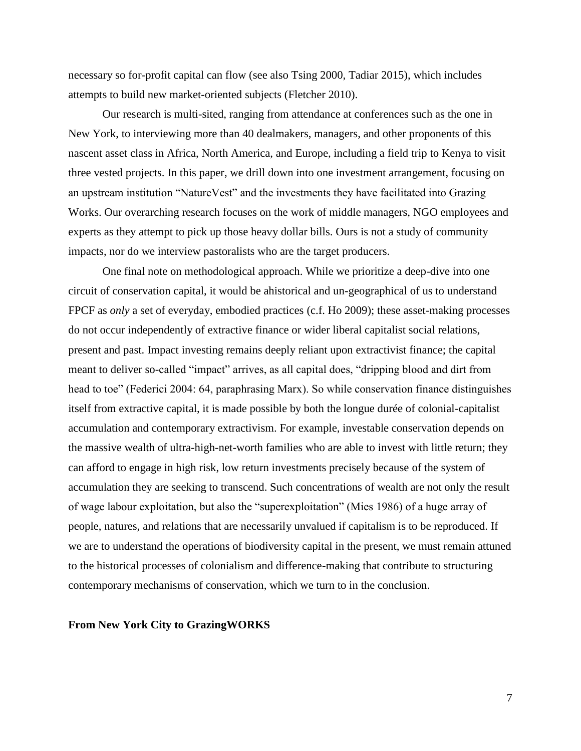necessary so for-profit capital can flow (see also Tsing 2000, Tadiar 2015), which includes attempts to build new market-oriented subjects (Fletcher 2010).

Our research is multi-sited, ranging from attendance at conferences such as the one in New York, to interviewing more than 40 dealmakers, managers, and other proponents of this nascent asset class in Africa, North America, and Europe, including a field trip to Kenya to visit three vested projects. In this paper, we drill down into one investment arrangement, focusing on an upstream institution "NatureVest" and the investments they have facilitated into Grazing Works. Our overarching research focuses on the work of middle managers, NGO employees and experts as they attempt to pick up those heavy dollar bills. Ours is not a study of community impacts, nor do we interview pastoralists who are the target producers.

One final note on methodological approach. While we prioritize a deep-dive into one circuit of conservation capital, it would be ahistorical and un-geographical of us to understand FPCF as *only* a set of everyday, embodied practices (c.f. Ho 2009); these asset-making processes do not occur independently of extractive finance or wider liberal capitalist social relations, present and past. Impact investing remains deeply reliant upon extractivist finance; the capital meant to deliver so-called "impact" arrives, as all capital does, "dripping blood and dirt from head to toe" (Federici 2004: 64, paraphrasing Marx). So while conservation finance distinguishes itself from extractive capital, it is made possible by both the longue durée of colonial-capitalist accumulation and contemporary extractivism. For example, investable conservation depends on the massive wealth of ultra-high-net-worth families who are able to invest with little return; they can afford to engage in high risk, low return investments precisely because of the system of accumulation they are seeking to transcend. Such concentrations of wealth are not only the result of wage labour exploitation, but also the "superexploitation" (Mies 1986) of a huge array of people, natures, and relations that are necessarily unvalued if capitalism is to be reproduced. If we are to understand the operations of biodiversity capital in the present, we must remain attuned to the historical processes of colonialism and difference-making that contribute to structuring contemporary mechanisms of conservation, which we turn to in the conclusion.

### **From New York City to GrazingWORKS**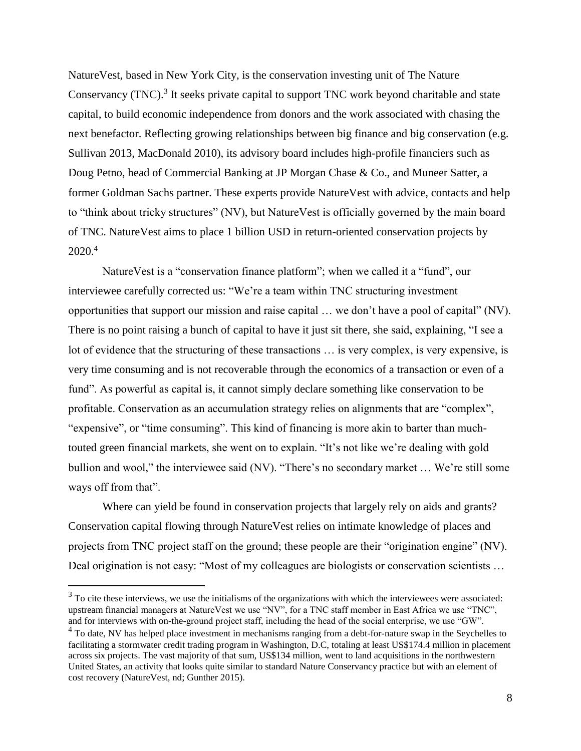NatureVest, based in New York City, is the conservation investing unit of The Nature Conservancy (TNC).<sup>3</sup> It seeks private capital to support TNC work beyond charitable and state capital, to build economic independence from donors and the work associated with chasing the next benefactor. Reflecting growing relationships between big finance and big conservation (e.g. Sullivan 2013, MacDonald 2010), its advisory board includes high-profile financiers such as Doug Petno, head of Commercial Banking at JP Morgan Chase & Co., and Muneer Satter, a former Goldman Sachs partner. These experts provide NatureVest with advice, contacts and help to "think about tricky structures" (NV), but NatureVest is officially governed by the main board of TNC. NatureVest aims to place 1 billion USD in return-oriented conservation projects by  $2020.<sup>4</sup>$ 

NatureVest is a "conservation finance platform"; when we called it a "fund", our interviewee carefully corrected us: "We're a team within TNC structuring investment opportunities that support our mission and raise capital … we don't have a pool of capital" (NV). There is no point raising a bunch of capital to have it just sit there, she said, explaining, "I see a lot of evidence that the structuring of these transactions … is very complex, is very expensive, is very time consuming and is not recoverable through the economics of a transaction or even of a fund". As powerful as capital is, it cannot simply declare something like conservation to be profitable. Conservation as an accumulation strategy relies on alignments that are "complex", "expensive", or "time consuming". This kind of financing is more akin to barter than muchtouted green financial markets, she went on to explain. "It's not like we're dealing with gold bullion and wool," the interviewee said (NV). "There's no secondary market … We're still some ways off from that".

Where can yield be found in conservation projects that largely rely on aids and grants? Conservation capital flowing through NatureVest relies on intimate knowledge of places and projects from TNC project staff on the ground; these people are their "origination engine" (NV). Deal origination is not easy: "Most of my colleagues are biologists or conservation scientists ...

 $\overline{a}$ 

 $3$  To cite these interviews, we use the initialisms of the organizations with which the interviewees were associated: upstream financial managers at NatureVest we use "NV", for a TNC staff member in East Africa we use "TNC", and for interviews with on-the-ground project staff, including the head of the social enterprise, we use "GW".

<sup>&</sup>lt;sup>4</sup> To date, NV has helped place investment in mechanisms ranging from a debt-for-nature swap in the Seychelles to facilitating a stormwater credit trading program in Washington, D.C, totaling at least US\$174.4 million in placement across six projects. The vast majority of that sum, US\$134 million, went to land acquisitions in the northwestern United States, an activity that looks quite similar to standard Nature Conservancy practice but with an element of cost recovery (NatureVest, nd; Gunther 2015).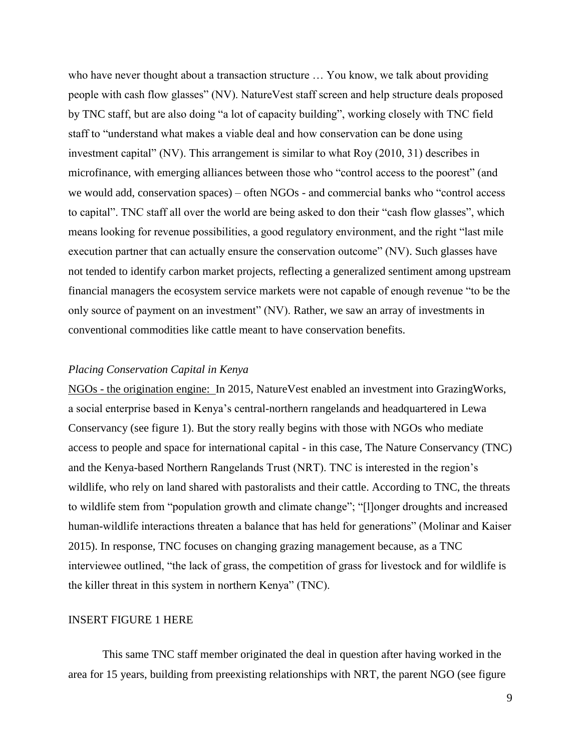who have never thought about a transaction structure ... You know, we talk about providing people with cash flow glasses" (NV). NatureVest staff screen and help structure deals proposed by TNC staff, but are also doing "a lot of capacity building", working closely with TNC field staff to "understand what makes a viable deal and how conservation can be done using investment capital" (NV). This arrangement is similar to what Roy (2010, 31) describes in microfinance, with emerging alliances between those who "control access to the poorest" (and we would add, conservation spaces) – often NGOs - and commercial banks who "control access to capital". TNC staff all over the world are being asked to don their "cash flow glasses", which means looking for revenue possibilities, a good regulatory environment, and the right "last mile execution partner that can actually ensure the conservation outcome" (NV). Such glasses have not tended to identify carbon market projects, reflecting a generalized sentiment among upstream financial managers the ecosystem service markets were not capable of enough revenue "to be the only source of payment on an investment" (NV). Rather, we saw an array of investments in conventional commodities like cattle meant to have conservation benefits.

# *Placing Conservation Capital in Kenya*

NGOs - the origination engine: In 2015, NatureVest enabled an investment into GrazingWorks, a social enterprise based in Kenya's central-northern rangelands and headquartered in Lewa Conservancy (see figure 1). But the story really begins with those with NGOs who mediate access to people and space for international capital - in this case, The Nature Conservancy (TNC) and the Kenya-based Northern Rangelands Trust (NRT). TNC is interested in the region's wildlife, who rely on land shared with pastoralists and their cattle. According to TNC, the threats to wildlife stem from "population growth and climate change"; "[l]onger droughts and increased human-wildlife interactions threaten a balance that has held for generations" (Molinar and Kaiser 2015). In response, TNC focuses on changing grazing management because, as a TNC interviewee outlined, "the lack of grass, the competition of grass for livestock and for wildlife is the killer threat in this system in northern Kenya" (TNC).

# INSERT FIGURE 1 HERE

This same TNC staff member originated the deal in question after having worked in the area for 15 years, building from preexisting relationships with NRT, the parent NGO (see figure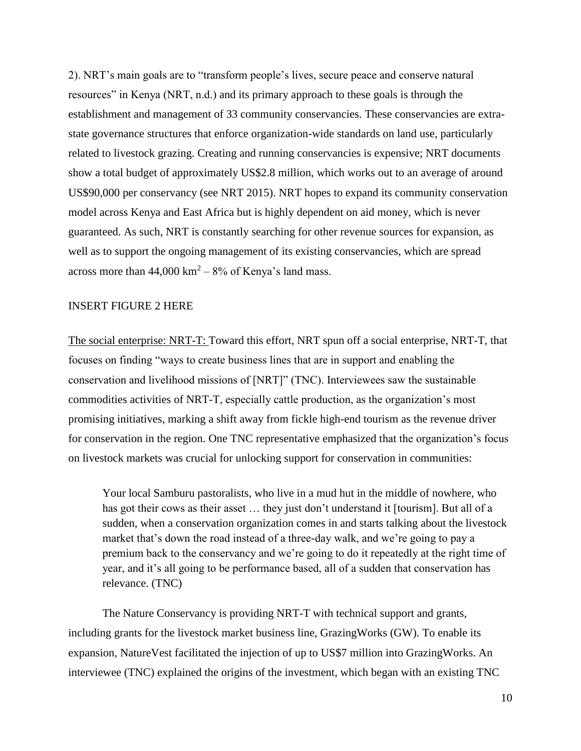2). NRT's main goals are to "transform people's lives, secure peace and conserve natural resources" in Kenya (NRT, n.d.) and its primary approach to these goals is through the establishment and management of 33 community conservancies. These conservancies are extrastate governance structures that enforce organization-wide standards on land use, particularly related to livestock grazing. Creating and running conservancies is expensive; NRT documents show a total budget of approximately US\$2.8 million, which works out to an average of around US\$90,000 per conservancy (see NRT 2015). NRT hopes to expand its community conservation model across Kenya and East Africa but is highly dependent on aid money, which is never guaranteed. As such, NRT is constantly searching for other revenue sources for expansion, as well as to support the ongoing management of its existing conservancies, which are spread across more than  $44,000 \text{ km}^2 - 8\%$  of Kenya's land mass.

## INSERT FIGURE 2 HERE

The social enterprise: NRT-T: Toward this effort, NRT spun off a social enterprise, NRT-T, that focuses on finding "ways to create business lines that are in support and enabling the conservation and livelihood missions of [NRT]" (TNC). Interviewees saw the sustainable commodities activities of NRT-T, especially cattle production, as the organization's most promising initiatives, marking a shift away from fickle high-end tourism as the revenue driver for conservation in the region. One TNC representative emphasized that the organization's focus on livestock markets was crucial for unlocking support for conservation in communities:

Your local Samburu pastoralists, who live in a mud hut in the middle of nowhere, who has got their cows as their asset ... they just don't understand it [tourism]. But all of a sudden, when a conservation organization comes in and starts talking about the livestock market that's down the road instead of a three-day walk, and we're going to pay a premium back to the conservancy and we're going to do it repeatedly at the right time of year, and it's all going to be performance based, all of a sudden that conservation has relevance. (TNC)

The Nature Conservancy is providing NRT-T with technical support and grants, including grants for the livestock market business line, GrazingWorks (GW). To enable its expansion, NatureVest facilitated the injection of up to US\$7 million into GrazingWorks. An interviewee (TNC) explained the origins of the investment, which began with an existing TNC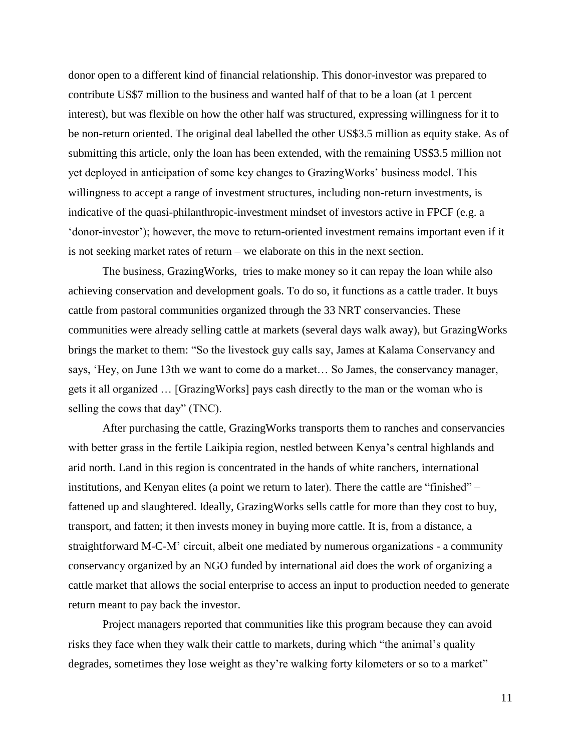donor open to a different kind of financial relationship. This donor-investor was prepared to contribute US\$7 million to the business and wanted half of that to be a loan (at 1 percent interest), but was flexible on how the other half was structured, expressing willingness for it to be non-return oriented. The original deal labelled the other US\$3.5 million as equity stake. As of submitting this article, only the loan has been extended, with the remaining US\$3.5 million not yet deployed in anticipation of some key changes to GrazingWorks' business model. This willingness to accept a range of investment structures, including non-return investments, is indicative of the quasi-philanthropic-investment mindset of investors active in FPCF (e.g. a 'donor-investor'); however, the move to return-oriented investment remains important even if it is not seeking market rates of return – we elaborate on this in the next section.

The business, GrazingWorks, tries to make money so it can repay the loan while also achieving conservation and development goals. To do so, it functions as a cattle trader. It buys cattle from pastoral communities organized through the 33 NRT conservancies. These communities were already selling cattle at markets (several days walk away), but GrazingWorks brings the market to them: "So the livestock guy calls say, James at Kalama Conservancy and says, 'Hey, on June 13th we want to come do a market… So James, the conservancy manager, gets it all organized … [GrazingWorks] pays cash directly to the man or the woman who is selling the cows that day" (TNC).

After purchasing the cattle, GrazingWorks transports them to ranches and conservancies with better grass in the fertile Laikipia region, nestled between Kenya's central highlands and arid north. Land in this region is concentrated in the hands of white ranchers, international institutions, and Kenyan elites (a point we return to later). There the cattle are "finished" – fattened up and slaughtered. Ideally, GrazingWorks sells cattle for more than they cost to buy, transport, and fatten; it then invests money in buying more cattle. It is, from a distance, a straightforward M-C-M' circuit, albeit one mediated by numerous organizations - a community conservancy organized by an NGO funded by international aid does the work of organizing a cattle market that allows the social enterprise to access an input to production needed to generate return meant to pay back the investor.

Project managers reported that communities like this program because they can avoid risks they face when they walk their cattle to markets, during which "the animal's quality degrades, sometimes they lose weight as they're walking forty kilometers or so to a market"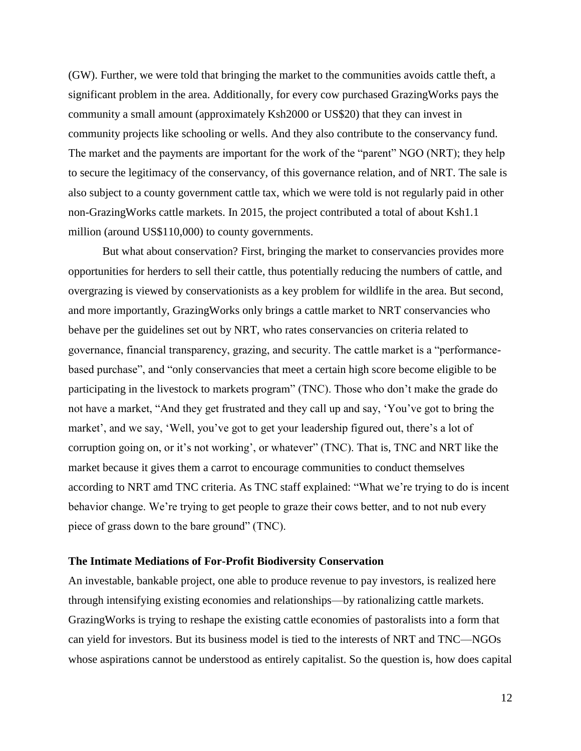(GW). Further, we were told that bringing the market to the communities avoids cattle theft, a significant problem in the area. Additionally, for every cow purchased GrazingWorks pays the community a small amount (approximately Ksh2000 or US\$20) that they can invest in community projects like schooling or wells. And they also contribute to the conservancy fund. The market and the payments are important for the work of the "parent" NGO (NRT); they help to secure the legitimacy of the conservancy, of this governance relation, and of NRT. The sale is also subject to a county government cattle tax, which we were told is not regularly paid in other non-GrazingWorks cattle markets. In 2015, the project contributed a total of about Ksh1.1 million (around US\$110,000) to county governments.

But what about conservation? First, bringing the market to conservancies provides more opportunities for herders to sell their cattle, thus potentially reducing the numbers of cattle, and overgrazing is viewed by conservationists as a key problem for wildlife in the area. But second, and more importantly, GrazingWorks only brings a cattle market to NRT conservancies who behave per the guidelines set out by NRT, who rates conservancies on criteria related to governance, financial transparency, grazing, and security. The cattle market is a "performancebased purchase", and "only conservancies that meet a certain high score become eligible to be participating in the livestock to markets program" (TNC). Those who don't make the grade do not have a market, "And they get frustrated and they call up and say, 'You've got to bring the market', and we say, 'Well, you've got to get your leadership figured out, there's a lot of corruption going on, or it's not working', or whatever" (TNC). That is, TNC and NRT like the market because it gives them a carrot to encourage communities to conduct themselves according to NRT amd TNC criteria. As TNC staff explained: "What we're trying to do is incent behavior change. We're trying to get people to graze their cows better, and to not nub every piece of grass down to the bare ground" (TNC).

#### **The Intimate Mediations of For-Profit Biodiversity Conservation**

An investable, bankable project, one able to produce revenue to pay investors, is realized here through intensifying existing economies and relationships—by rationalizing cattle markets. GrazingWorks is trying to reshape the existing cattle economies of pastoralists into a form that can yield for investors. But its business model is tied to the interests of NRT and TNC—NGOs whose aspirations cannot be understood as entirely capitalist. So the question is, how does capital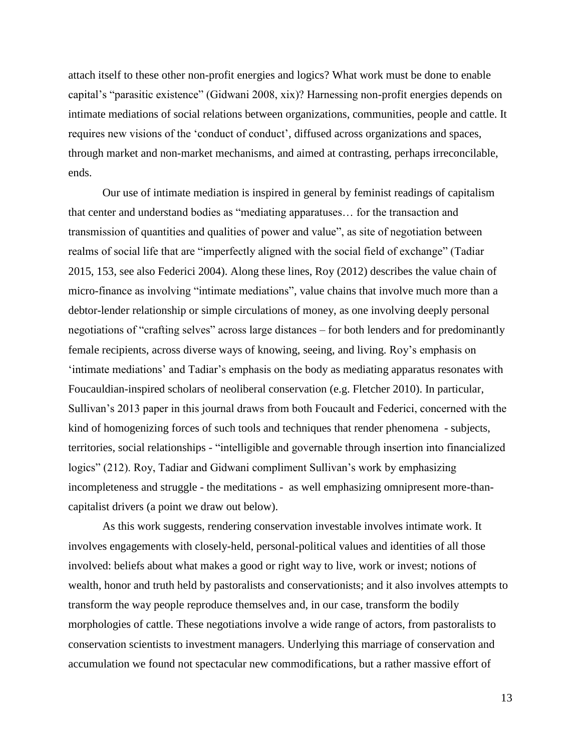attach itself to these other non-profit energies and logics? What work must be done to enable capital's "parasitic existence" (Gidwani 2008, xix)? Harnessing non-profit energies depends on intimate mediations of social relations between organizations, communities, people and cattle. It requires new visions of the 'conduct of conduct', diffused across organizations and spaces, through market and non-market mechanisms, and aimed at contrasting, perhaps irreconcilable, ends.

Our use of intimate mediation is inspired in general by feminist readings of capitalism that center and understand bodies as "mediating apparatuses… for the transaction and transmission of quantities and qualities of power and value", as site of negotiation between realms of social life that are "imperfectly aligned with the social field of exchange" (Tadiar 2015, 153, see also Federici 2004). Along these lines, Roy (2012) describes the value chain of micro-finance as involving "intimate mediations", value chains that involve much more than a debtor-lender relationship or simple circulations of money, as one involving deeply personal negotiations of "crafting selves" across large distances – for both lenders and for predominantly female recipients, across diverse ways of knowing, seeing, and living. Roy's emphasis on 'intimate mediations' and Tadiar's emphasis on the body as mediating apparatus resonates with Foucauldian-inspired scholars of neoliberal conservation (e.g. Fletcher 2010). In particular, Sullivan's 2013 paper in this journal draws from both Foucault and Federici, concerned with the kind of homogenizing forces of such tools and techniques that render phenomena - subjects, territories, social relationships - "intelligible and governable through insertion into financialized logics" (212). Roy, Tadiar and Gidwani compliment Sullivan's work by emphasizing incompleteness and struggle - the meditations - as well emphasizing omnipresent more-thancapitalist drivers (a point we draw out below).

As this work suggests, rendering conservation investable involves intimate work. It involves engagements with closely-held, personal-political values and identities of all those involved: beliefs about what makes a good or right way to live, work or invest; notions of wealth, honor and truth held by pastoralists and conservationists; and it also involves attempts to transform the way people reproduce themselves and, in our case, transform the bodily morphologies of cattle. These negotiations involve a wide range of actors, from pastoralists to conservation scientists to investment managers. Underlying this marriage of conservation and accumulation we found not spectacular new commodifications, but a rather massive effort of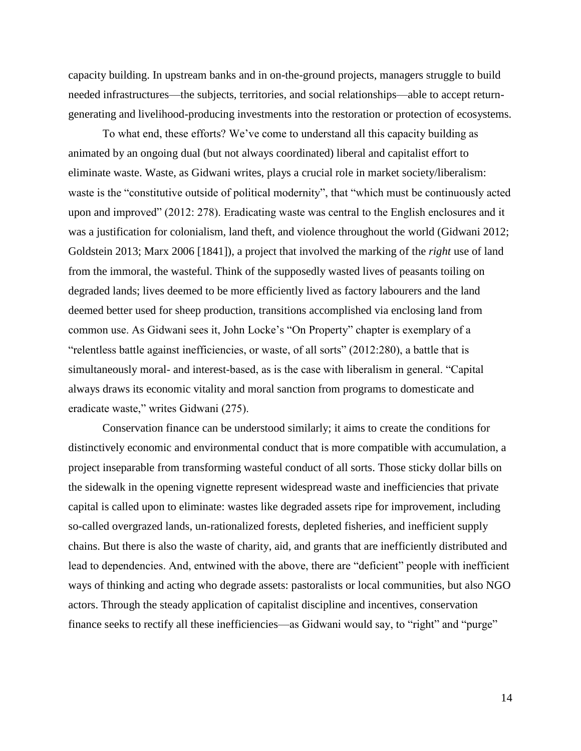capacity building. In upstream banks and in on-the-ground projects, managers struggle to build needed infrastructures—the subjects, territories, and social relationships—able to accept returngenerating and livelihood-producing investments into the restoration or protection of ecosystems.

To what end, these efforts? We've come to understand all this capacity building as animated by an ongoing dual (but not always coordinated) liberal and capitalist effort to eliminate waste. Waste, as Gidwani writes, plays a crucial role in market society/liberalism: waste is the "constitutive outside of political modernity", that "which must be continuously acted upon and improved" (2012: 278). Eradicating waste was central to the English enclosures and it was a justification for colonialism, land theft, and violence throughout the world (Gidwani 2012; Goldstein 2013; Marx 2006 [1841]), a project that involved the marking of the *right* use of land from the immoral, the wasteful. Think of the supposedly wasted lives of peasants toiling on degraded lands; lives deemed to be more efficiently lived as factory labourers and the land deemed better used for sheep production, transitions accomplished via enclosing land from common use. As Gidwani sees it, John Locke's "On Property" chapter is exemplary of a "relentless battle against inefficiencies, or waste, of all sorts" (2012:280), a battle that is simultaneously moral- and interest-based, as is the case with liberalism in general. "Capital always draws its economic vitality and moral sanction from programs to domesticate and eradicate waste," writes Gidwani (275).

Conservation finance can be understood similarly; it aims to create the conditions for distinctively economic and environmental conduct that is more compatible with accumulation, a project inseparable from transforming wasteful conduct of all sorts. Those sticky dollar bills on the sidewalk in the opening vignette represent widespread waste and inefficiencies that private capital is called upon to eliminate: wastes like degraded assets ripe for improvement, including so-called overgrazed lands, un-rationalized forests, depleted fisheries, and inefficient supply chains. But there is also the waste of charity, aid, and grants that are inefficiently distributed and lead to dependencies. And, entwined with the above, there are "deficient" people with inefficient ways of thinking and acting who degrade assets: pastoralists or local communities, but also NGO actors. Through the steady application of capitalist discipline and incentives, conservation finance seeks to rectify all these inefficiencies—as Gidwani would say, to "right" and "purge"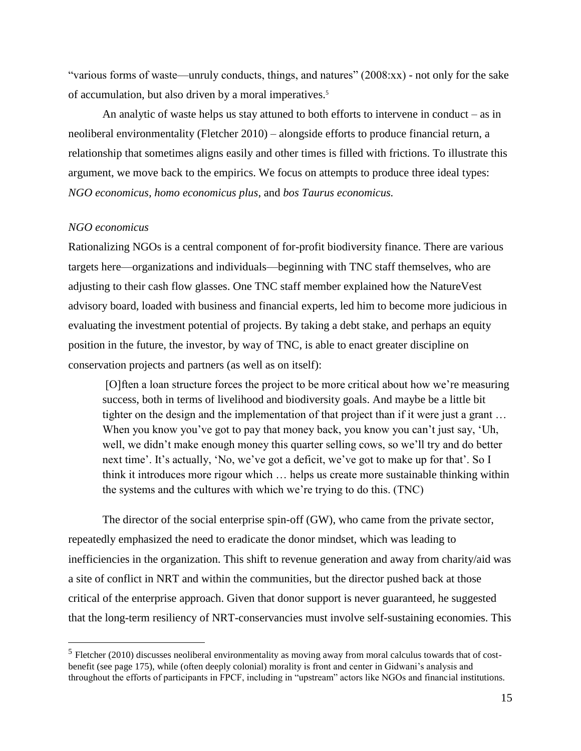"various forms of waste—unruly conducts, things, and natures" (2008:xx) - not only for the sake of accumulation, but also driven by a moral imperatives. 5

An analytic of waste helps us stay attuned to both efforts to intervene in conduct – as in neoliberal environmentality (Fletcher 2010) – alongside efforts to produce financial return, a relationship that sometimes aligns easily and other times is filled with frictions. To illustrate this argument, we move back to the empirics. We focus on attempts to produce three ideal types: *NGO economicus, homo economicus plus*, and *bos Taurus economicus.* 

#### *NGO economicus*

 $\overline{a}$ 

Rationalizing NGOs is a central component of for-profit biodiversity finance. There are various targets here—organizations and individuals—beginning with TNC staff themselves, who are adjusting to their cash flow glasses. One TNC staff member explained how the NatureVest advisory board, loaded with business and financial experts, led him to become more judicious in evaluating the investment potential of projects. By taking a debt stake, and perhaps an equity position in the future, the investor, by way of TNC, is able to enact greater discipline on conservation projects and partners (as well as on itself):

[O]ften a loan structure forces the project to be more critical about how we're measuring success, both in terms of livelihood and biodiversity goals. And maybe be a little bit tighter on the design and the implementation of that project than if it were just a grant … When you know you've got to pay that money back, you know you can't just say, 'Uh, well, we didn't make enough money this quarter selling cows, so we'll try and do better next time'. It's actually, 'No, we've got a deficit, we've got to make up for that'. So I think it introduces more rigour which … helps us create more sustainable thinking within the systems and the cultures with which we're trying to do this. (TNC)

The director of the social enterprise spin-off (GW), who came from the private sector, repeatedly emphasized the need to eradicate the donor mindset, which was leading to inefficiencies in the organization. This shift to revenue generation and away from charity/aid was a site of conflict in NRT and within the communities, but the director pushed back at those critical of the enterprise approach. Given that donor support is never guaranteed, he suggested that the long-term resiliency of NRT-conservancies must involve self-sustaining economies. This

 $<sup>5</sup>$  Fletcher (2010) discusses neoliberal environmentality as moving away from moral calculus towards that of cost-</sup> benefit (see page 175), while (often deeply colonial) morality is front and center in Gidwani's analysis and throughout the efforts of participants in FPCF, including in "upstream" actors like NGOs and financial institutions.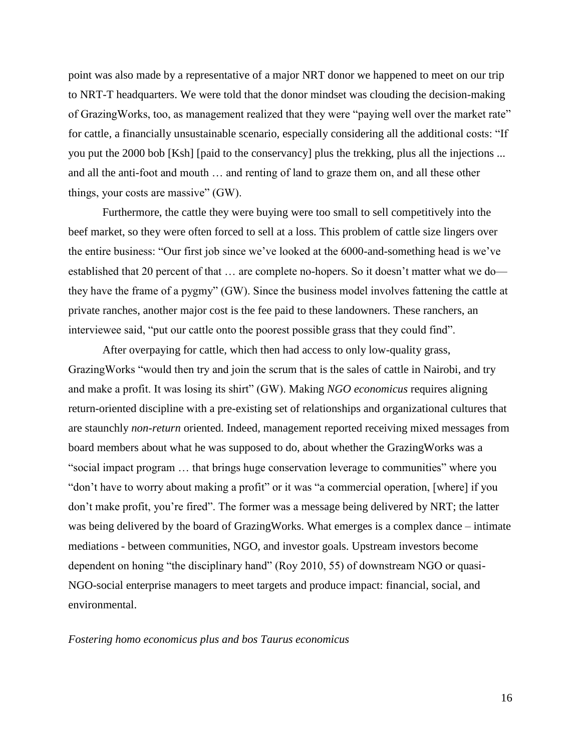point was also made by a representative of a major NRT donor we happened to meet on our trip to NRT-T headquarters. We were told that the donor mindset was clouding the decision-making of GrazingWorks, too, as management realized that they were "paying well over the market rate" for cattle, a financially unsustainable scenario, especially considering all the additional costs: "If you put the 2000 bob [Ksh] [paid to the conservancy] plus the trekking, plus all the injections ... and all the anti-foot and mouth … and renting of land to graze them on, and all these other things, your costs are massive" (GW).

Furthermore, the cattle they were buying were too small to sell competitively into the beef market, so they were often forced to sell at a loss. This problem of cattle size lingers over the entire business: "Our first job since we've looked at the 6000-and-something head is we've established that 20 percent of that … are complete no-hopers. So it doesn't matter what we do they have the frame of a pygmy" (GW). Since the business model involves fattening the cattle at private ranches, another major cost is the fee paid to these landowners. These ranchers, an interviewee said, "put our cattle onto the poorest possible grass that they could find".

After overpaying for cattle, which then had access to only low-quality grass, GrazingWorks "would then try and join the scrum that is the sales of cattle in Nairobi, and try and make a profit. It was losing its shirt" (GW). Making *NGO economicus* requires aligning return-oriented discipline with a pre-existing set of relationships and organizational cultures that are staunchly *non-return* oriented. Indeed, management reported receiving mixed messages from board members about what he was supposed to do, about whether the GrazingWorks was a "social impact program … that brings huge conservation leverage to communities" where you "don't have to worry about making a profit" or it was "a commercial operation, [where] if you don't make profit, you're fired". The former was a message being delivered by NRT; the latter was being delivered by the board of GrazingWorks. What emerges is a complex dance – intimate mediations - between communities, NGO, and investor goals. Upstream investors become dependent on honing "the disciplinary hand" (Roy 2010, 55) of downstream NGO or quasi-NGO-social enterprise managers to meet targets and produce impact: financial, social, and environmental.

#### *Fostering homo economicus plus and bos Taurus economicus*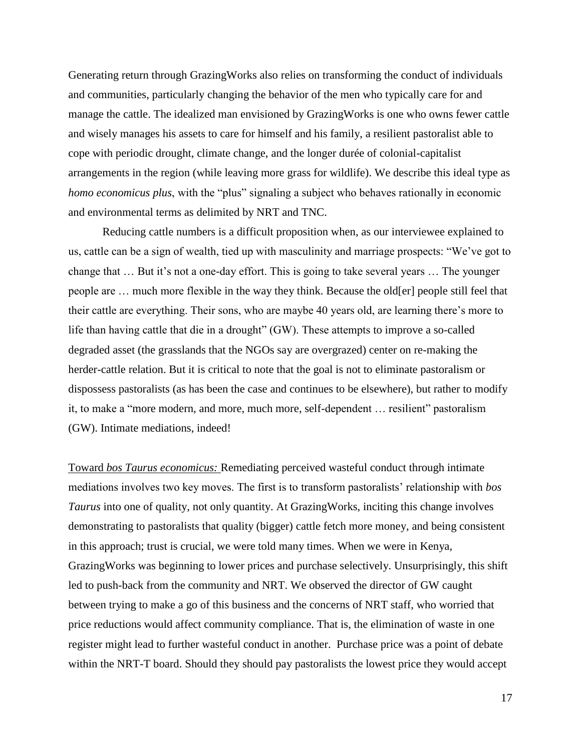Generating return through GrazingWorks also relies on transforming the conduct of individuals and communities, particularly changing the behavior of the men who typically care for and manage the cattle. The idealized man envisioned by GrazingWorks is one who owns fewer cattle and wisely manages his assets to care for himself and his family, a resilient pastoralist able to cope with periodic drought, climate change, and the longer durée of colonial-capitalist arrangements in the region (while leaving more grass for wildlife). We describe this ideal type as *homo economicus plus*, with the "plus" signaling a subject who behaves rationally in economic and environmental terms as delimited by NRT and TNC.

Reducing cattle numbers is a difficult proposition when, as our interviewee explained to us, cattle can be a sign of wealth, tied up with masculinity and marriage prospects: "We've got to change that … But it's not a one-day effort. This is going to take several years … The younger people are … much more flexible in the way they think. Because the old[er] people still feel that their cattle are everything. Their sons, who are maybe 40 years old, are learning there's more to life than having cattle that die in a drought" (GW). These attempts to improve a so-called degraded asset (the grasslands that the NGOs say are overgrazed) center on re-making the herder-cattle relation. But it is critical to note that the goal is not to eliminate pastoralism or dispossess pastoralists (as has been the case and continues to be elsewhere), but rather to modify it, to make a "more modern, and more, much more, self-dependent … resilient" pastoralism (GW). Intimate mediations, indeed!

Toward *bos Taurus economicus:* Remediating perceived wasteful conduct through intimate mediations involves two key moves. The first is to transform pastoralists' relationship with *bos Taurus* into one of quality, not only quantity. At GrazingWorks, inciting this change involves demonstrating to pastoralists that quality (bigger) cattle fetch more money, and being consistent in this approach; trust is crucial, we were told many times. When we were in Kenya, GrazingWorks was beginning to lower prices and purchase selectively. Unsurprisingly, this shift led to push-back from the community and NRT. We observed the director of GW caught between trying to make a go of this business and the concerns of NRT staff, who worried that price reductions would affect community compliance. That is, the elimination of waste in one register might lead to further wasteful conduct in another. Purchase price was a point of debate within the NRT-T board. Should they should pay pastoralists the lowest price they would accept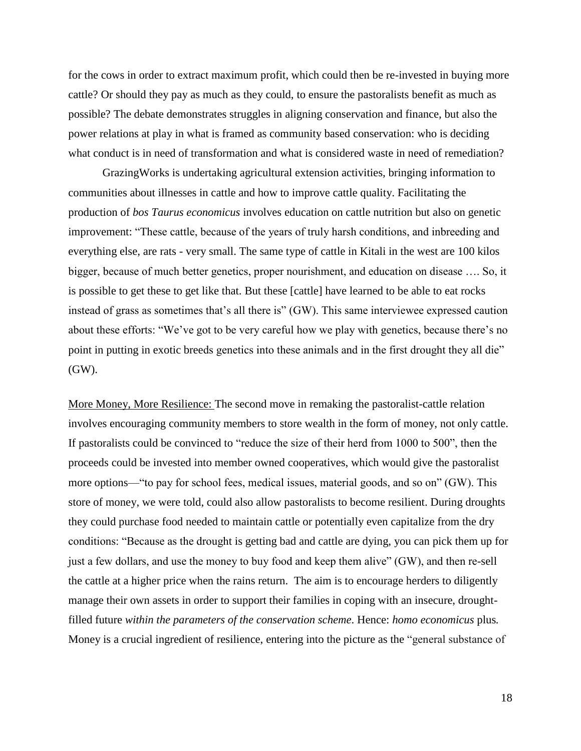for the cows in order to extract maximum profit, which could then be re-invested in buying more cattle? Or should they pay as much as they could, to ensure the pastoralists benefit as much as possible? The debate demonstrates struggles in aligning conservation and finance, but also the power relations at play in what is framed as community based conservation: who is deciding what conduct is in need of transformation and what is considered waste in need of remediation?

GrazingWorks is undertaking agricultural extension activities, bringing information to communities about illnesses in cattle and how to improve cattle quality. Facilitating the production of *bos Taurus economicus* involves education on cattle nutrition but also on genetic improvement: "These cattle, because of the years of truly harsh conditions, and inbreeding and everything else, are rats - very small. The same type of cattle in Kitali in the west are 100 kilos bigger, because of much better genetics, proper nourishment, and education on disease …. So, it is possible to get these to get like that. But these [cattle] have learned to be able to eat rocks instead of grass as sometimes that's all there is" (GW). This same interviewee expressed caution about these efforts: "We've got to be very careful how we play with genetics, because there's no point in putting in exotic breeds genetics into these animals and in the first drought they all die" (GW).

More Money, More Resilience: The second move in remaking the pastoralist-cattle relation involves encouraging community members to store wealth in the form of money, not only cattle. If pastoralists could be convinced to "reduce the size of their herd from 1000 to 500", then the proceeds could be invested into member owned cooperatives, which would give the pastoralist more options—"to pay for school fees, medical issues, material goods, and so on" (GW). This store of money, we were told, could also allow pastoralists to become resilient. During droughts they could purchase food needed to maintain cattle or potentially even capitalize from the dry conditions: "Because as the drought is getting bad and cattle are dying, you can pick them up for just a few dollars, and use the money to buy food and keep them alive" (GW), and then re-sell the cattle at a higher price when the rains return. The aim is to encourage herders to diligently manage their own assets in order to support their families in coping with an insecure, droughtfilled future *within the parameters of the conservation scheme*. Hence: *homo economicus* plus*.* Money is a crucial ingredient of resilience, entering into the picture as the "general substance of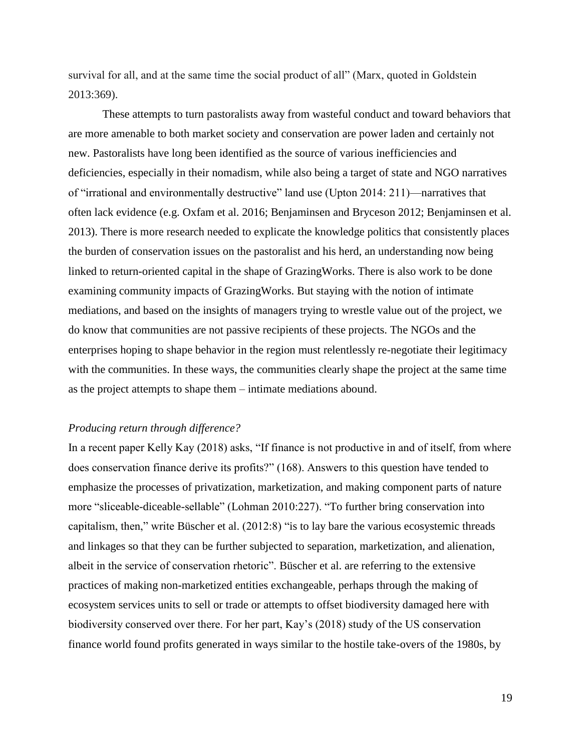survival for all, and at the same time the social product of all" (Marx, quoted in Goldstein 2013:369).

These attempts to turn pastoralists away from wasteful conduct and toward behaviors that are more amenable to both market society and conservation are power laden and certainly not new. Pastoralists have long been identified as the source of various inefficiencies and deficiencies, especially in their nomadism, while also being a target of state and NGO narratives of "irrational and environmentally destructive" land use (Upton 2014: 211)—narratives that often lack evidence (e.g. Oxfam et al. 2016; Benjaminsen and Bryceson 2012; Benjaminsen et al. 2013). There is more research needed to explicate the knowledge politics that consistently places the burden of conservation issues on the pastoralist and his herd, an understanding now being linked to return-oriented capital in the shape of GrazingWorks. There is also work to be done examining community impacts of GrazingWorks. But staying with the notion of intimate mediations, and based on the insights of managers trying to wrestle value out of the project, we do know that communities are not passive recipients of these projects. The NGOs and the enterprises hoping to shape behavior in the region must relentlessly re-negotiate their legitimacy with the communities. In these ways, the communities clearly shape the project at the same time as the project attempts to shape them – intimate mediations abound.

# *Producing return through difference?*

In a recent paper Kelly Kay (2018) asks, "If finance is not productive in and of itself, from where does conservation finance derive its profits?" (168). Answers to this question have tended to emphasize the processes of privatization, marketization, and making component parts of nature more "sliceable-diceable-sellable" (Lohman 2010:227). "To further bring conservation into capitalism, then," write Büscher et al. (2012:8) "is to lay bare the various ecosystemic threads and linkages so that they can be further subjected to separation, marketization, and alienation, albeit in the service of conservation rhetoric". Büscher et al. are referring to the extensive practices of making non-marketized entities exchangeable, perhaps through the making of ecosystem services units to sell or trade or attempts to offset biodiversity damaged here with biodiversity conserved over there. For her part, Kay's (2018) study of the US conservation finance world found profits generated in ways similar to the hostile take-overs of the 1980s, by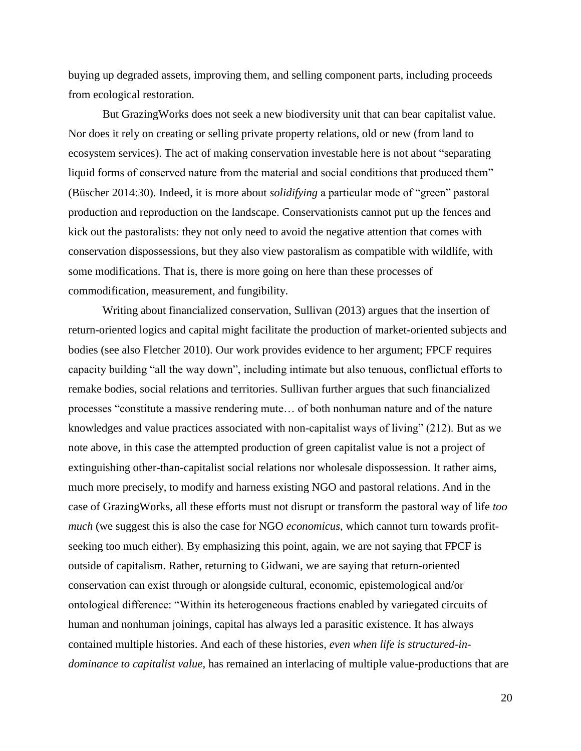buying up degraded assets, improving them, and selling component parts, including proceeds from ecological restoration.

But GrazingWorks does not seek a new biodiversity unit that can bear capitalist value. Nor does it rely on creating or selling private property relations, old or new (from land to ecosystem services). The act of making conservation investable here is not about "separating liquid forms of conserved nature from the material and social conditions that produced them" (Büscher 2014:30). Indeed, it is more about *solidifying* a particular mode of "green" pastoral production and reproduction on the landscape. Conservationists cannot put up the fences and kick out the pastoralists: they not only need to avoid the negative attention that comes with conservation dispossessions, but they also view pastoralism as compatible with wildlife, with some modifications. That is, there is more going on here than these processes of commodification, measurement, and fungibility.

Writing about financialized conservation, Sullivan (2013) argues that the insertion of return-oriented logics and capital might facilitate the production of market-oriented subjects and bodies (see also Fletcher 2010). Our work provides evidence to her argument; FPCF requires capacity building "all the way down", including intimate but also tenuous, conflictual efforts to remake bodies, social relations and territories. Sullivan further argues that such financialized processes "constitute a massive rendering mute… of both nonhuman nature and of the nature knowledges and value practices associated with non-capitalist ways of living" (212). But as we note above, in this case the attempted production of green capitalist value is not a project of extinguishing other-than-capitalist social relations nor wholesale dispossession. It rather aims, much more precisely, to modify and harness existing NGO and pastoral relations. And in the case of GrazingWorks, all these efforts must not disrupt or transform the pastoral way of life *too much* (we suggest this is also the case for NGO *economicus*, which cannot turn towards profitseeking too much either)*.* By emphasizing this point, again, we are not saying that FPCF is outside of capitalism. Rather, returning to Gidwani, we are saying that return-oriented conservation can exist through or alongside cultural, economic, epistemological and/or ontological difference: "Within its heterogeneous fractions enabled by variegated circuits of human and nonhuman joinings, capital has always led a parasitic existence. It has always contained multiple histories. And each of these histories, *even when life is structured-indominance to capitalist value,* has remained an interlacing of multiple value-productions that are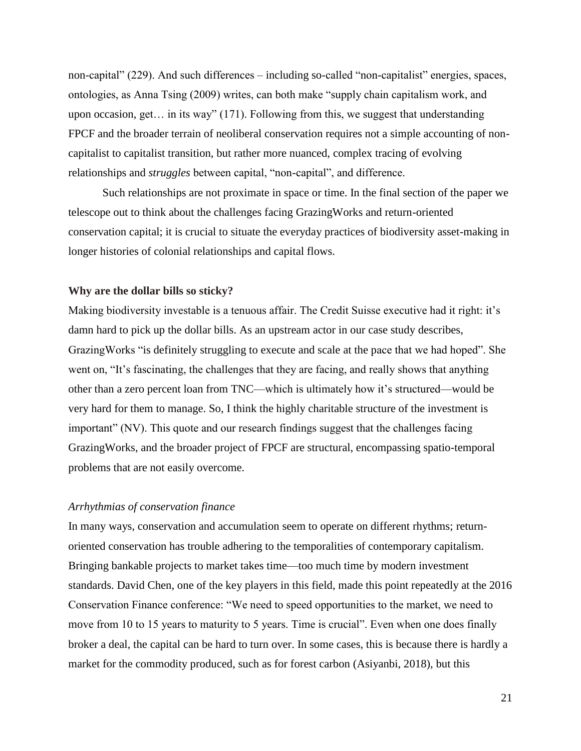non-capital" (229). And such differences – including so-called "non-capitalist" energies, spaces, ontologies, as Anna Tsing (2009) writes, can both make "supply chain capitalism work, and upon occasion, get… in its way" (171). Following from this, we suggest that understanding FPCF and the broader terrain of neoliberal conservation requires not a simple accounting of noncapitalist to capitalist transition, but rather more nuanced, complex tracing of evolving relationships and *struggles* between capital, "non-capital", and difference.

Such relationships are not proximate in space or time. In the final section of the paper we telescope out to think about the challenges facing GrazingWorks and return-oriented conservation capital; it is crucial to situate the everyday practices of biodiversity asset-making in longer histories of colonial relationships and capital flows.

#### **Why are the dollar bills so sticky?**

Making biodiversity investable is a tenuous affair. The Credit Suisse executive had it right: it's damn hard to pick up the dollar bills. As an upstream actor in our case study describes, GrazingWorks "is definitely struggling to execute and scale at the pace that we had hoped". She went on, "It's fascinating, the challenges that they are facing, and really shows that anything other than a zero percent loan from TNC—which is ultimately how it's structured—would be very hard for them to manage. So, I think the highly charitable structure of the investment is important" (NV). This quote and our research findings suggest that the challenges facing GrazingWorks, and the broader project of FPCF are structural, encompassing spatio-temporal problems that are not easily overcome.

### *Arrhythmias of conservation finance*

In many ways, conservation and accumulation seem to operate on different rhythms; returnoriented conservation has trouble adhering to the temporalities of contemporary capitalism. Bringing bankable projects to market takes time—too much time by modern investment standards. David Chen, one of the key players in this field, made this point repeatedly at the 2016 Conservation Finance conference: "We need to speed opportunities to the market, we need to move from 10 to 15 years to maturity to 5 years. Time is crucial". Even when one does finally broker a deal, the capital can be hard to turn over. In some cases, this is because there is hardly a market for the commodity produced, such as for forest carbon (Asiyanbi, 2018), but this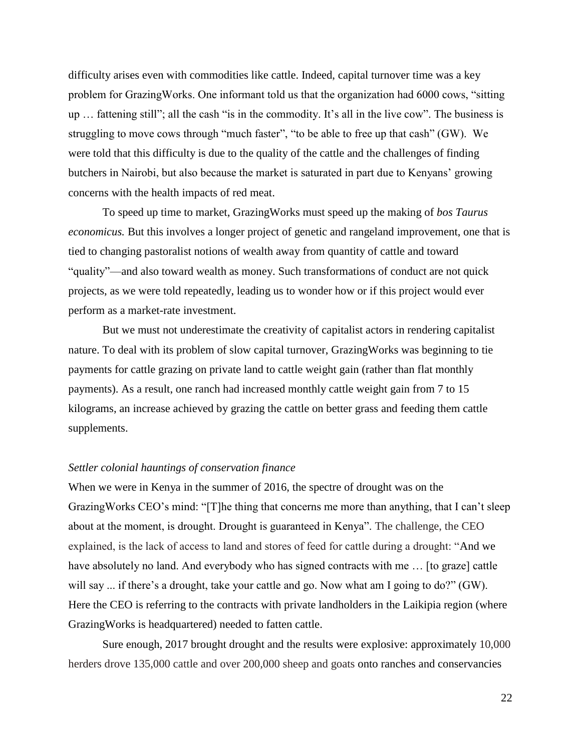difficulty arises even with commodities like cattle. Indeed, capital turnover time was a key problem for GrazingWorks. One informant told us that the organization had 6000 cows, "sitting up … fattening still"; all the cash "is in the commodity. It's all in the live cow". The business is struggling to move cows through "much faster", "to be able to free up that cash" (GW). We were told that this difficulty is due to the quality of the cattle and the challenges of finding butchers in Nairobi, but also because the market is saturated in part due to Kenyans' growing concerns with the health impacts of red meat.

To speed up time to market, GrazingWorks must speed up the making of *bos Taurus economicus.* But this involves a longer project of genetic and rangeland improvement, one that is tied to changing pastoralist notions of wealth away from quantity of cattle and toward "quality"—and also toward wealth as money. Such transformations of conduct are not quick projects, as we were told repeatedly, leading us to wonder how or if this project would ever perform as a market-rate investment.

But we must not underestimate the creativity of capitalist actors in rendering capitalist nature. To deal with its problem of slow capital turnover, GrazingWorks was beginning to tie payments for cattle grazing on private land to cattle weight gain (rather than flat monthly payments). As a result, one ranch had increased monthly cattle weight gain from 7 to 15 kilograms, an increase achieved by grazing the cattle on better grass and feeding them cattle supplements.

## *Settler colonial hauntings of conservation finance*

When we were in Kenya in the summer of 2016, the spectre of drought was on the GrazingWorks CEO's mind: "[T]he thing that concerns me more than anything, that I can't sleep about at the moment, is drought. Drought is guaranteed in Kenya". The challenge, the CEO explained, is the lack of access to land and stores of feed for cattle during a drought: "And we have absolutely no land. And everybody who has signed contracts with me ... [to graze] cattle will say ... if there's a drought, take your cattle and go. Now what am I going to do?" (GW). Here the CEO is referring to the contracts with private landholders in the Laikipia region (where GrazingWorks is headquartered) needed to fatten cattle.

Sure enough, 2017 brought drought and the results were explosive: approximately 10,000 herders drove 135,000 cattle and over 200,000 sheep and goats onto ranches and conservancies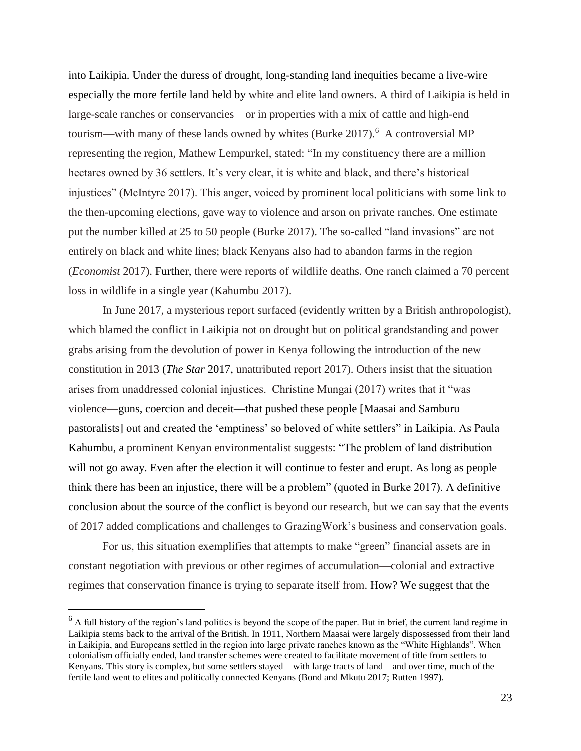into Laikipia. Under the duress of drought, long-standing land inequities became a live-wire especially the more fertile land held by white and elite land owners. A third of Laikipia is held in large-scale ranches or conservancies—or in properties with a mix of cattle and high-end tourism—with many of these lands owned by whites (Burke  $2017$ ).<sup>6</sup> A controversial MP representing the region, Mathew Lempurkel, stated: "In my constituency there are a million hectares owned by 36 settlers. It's very clear, it is white and black, and there's historical injustices" (McIntyre 2017). This anger, voiced by prominent local politicians with some link to the then-upcoming elections, gave way to violence and arson on private ranches. One estimate put the number killed at 25 to 50 people (Burke 2017). The so-called "land invasions" are not entirely on black and white lines; black Kenyans also had to abandon farms in the region (*Economist* 2017). Further, there were reports of wildlife deaths. One ranch claimed a 70 percent loss in wildlife in a single year (Kahumbu 2017).

In June 2017, a mysterious report surfaced (evidently written by a British anthropologist), which blamed the conflict in Laikipia not on drought but on political grandstanding and power grabs arising from the devolution of power in Kenya following the introduction of the new constitution in 2013 (*The Star* 2017, unattributed report 2017). Others insist that the situation arises from unaddressed colonial injustices. Christine Mungai (2017) writes that it "was violence—guns, coercion and deceit—that pushed these people [Maasai and Samburu pastoralists] out and created the 'emptiness' so beloved of white settlers" in Laikipia. As Paula Kahumbu, a prominent Kenyan environmentalist suggests: "The problem of land distribution will not go away. Even after the election it will continue to fester and erupt. As long as people think there has been an injustice, there will be a problem" (quoted in Burke 2017). A definitive conclusion about the source of the conflict is beyond our research, but we can say that the events of 2017 added complications and challenges to GrazingWork's business and conservation goals.

For us, this situation exemplifies that attempts to make "green" financial assets are in constant negotiation with previous or other regimes of accumulation—colonial and extractive regimes that conservation finance is trying to separate itself from. How? We suggest that the

 $\overline{a}$ 

 $<sup>6</sup>$  A full history of the region's land politics is beyond the scope of the paper. But in brief, the current land regime in</sup> Laikipia stems back to the arrival of the British. In 1911, Northern Maasai were largely dispossessed from their land in Laikipia, and Europeans settled in the region into large private ranches known as the "White Highlands". When colonialism officially ended, land transfer schemes were created to facilitate movement of title from settlers to Kenyans. This story is complex, but some settlers stayed—with large tracts of land—and over time, much of the fertile land went to elites and politically connected Kenyans (Bond and Mkutu 2017; Rutten 1997).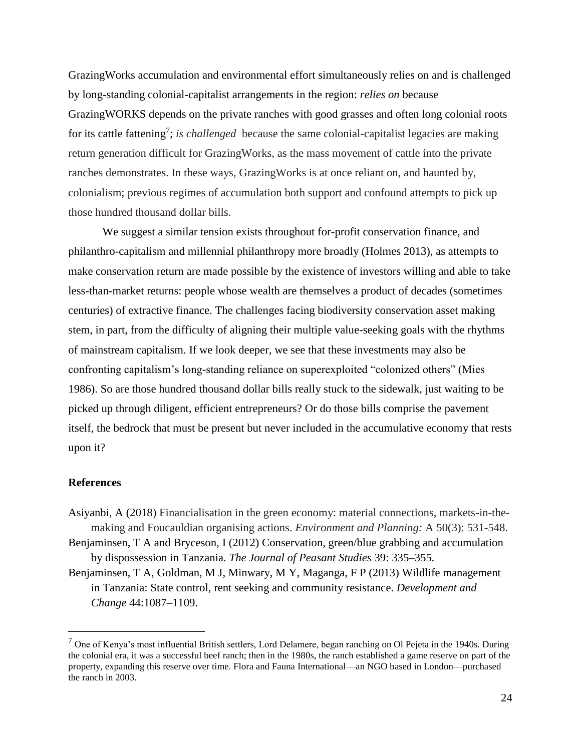GrazingWorks accumulation and environmental effort simultaneously relies on and is challenged by long-standing colonial-capitalist arrangements in the region: *relies on* because GrazingWORKS depends on the private ranches with good grasses and often long colonial roots for its cattle fattening<sup>7</sup>; *is challenged* because the same colonial-capitalist legacies are making return generation difficult for GrazingWorks, as the mass movement of cattle into the private ranches demonstrates. In these ways, GrazingWorks is at once reliant on, and haunted by, colonialism; previous regimes of accumulation both support and confound attempts to pick up those hundred thousand dollar bills.

We suggest a similar tension exists throughout for-profit conservation finance, and philanthro-capitalism and millennial philanthropy more broadly (Holmes 2013), as attempts to make conservation return are made possible by the existence of investors willing and able to take less-than-market returns: people whose wealth are themselves a product of decades (sometimes centuries) of extractive finance. The challenges facing biodiversity conservation asset making stem, in part, from the difficulty of aligning their multiple value-seeking goals with the rhythms of mainstream capitalism. If we look deeper, we see that these investments may also be confronting capitalism's long-standing reliance on superexploited "colonized others" (Mies 1986). So are those hundred thousand dollar bills really stuck to the sidewalk, just waiting to be picked up through diligent, efficient entrepreneurs? Or do those bills comprise the pavement itself, the bedrock that must be present but never included in the accumulative economy that rests upon it?

#### **References**

 $\overline{a}$ 

Asiyanbi, A (2018) Financialisation in the green economy: material connections, markets-in-themaking and Foucauldian organising actions. *Environment and Planning:* A 50(3): 531-548. Benjaminsen, T A and Bryceson, I (2012) Conservation, green/blue grabbing and accumulation

by dispossession in Tanzania. *The Journal of Peasant Studies* 39: 335–355.

Benjaminsen, T A, Goldman, M J, Minwary, M Y, Maganga, F P (2013) Wildlife management in Tanzania: State control, rent seeking and community resistance. *Development and Change* 44:1087–1109.

 $<sup>7</sup>$  One of Kenva's most influential British settlers, Lord Delamere, began ranching on Ol Pejeta in the 1940s. During</sup> the colonial era, it was a successful beef ranch; then in the 1980s, the ranch established a game reserve on part of the property, expanding this reserve over time. Flora and Fauna International—an NGO based in London—purchased the ranch in 2003.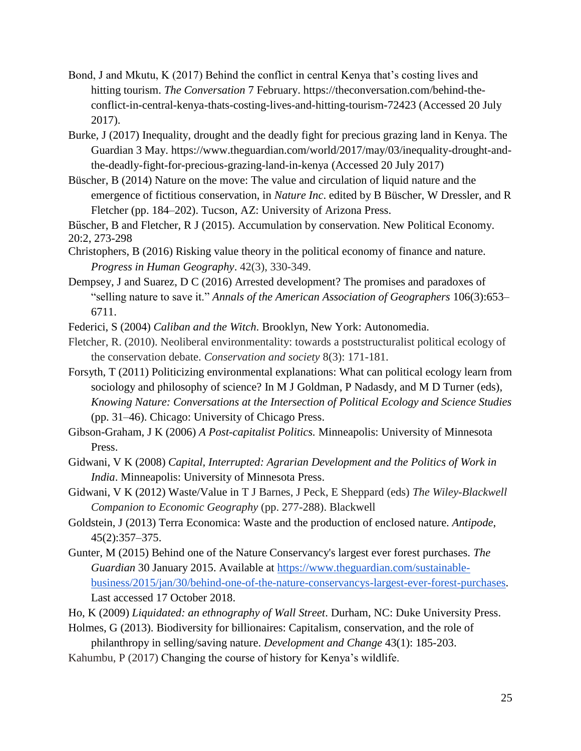- Bond, J and Mkutu, K (2017) Behind the conflict in central Kenya that's costing lives and hitting tourism. *The Conversation* 7 February. https://theconversation.com/behind-theconflict-in-central-kenya-thats-costing-lives-and-hitting-tourism-72423 (Accessed 20 July 2017).
- Burke, J (2017) Inequality, drought and the deadly fight for precious grazing land in Kenya. The Guardian 3 May. https://www.theguardian.com/world/2017/may/03/inequality-drought-andthe-deadly-fight-for-precious-grazing-land-in-kenya (Accessed 20 July 2017)
- Büscher, B (2014) Nature on the move: The value and circulation of liquid nature and the emergence of fictitious conservation, in *Nature Inc*. edited by B Büscher, W Dressler, and R Fletcher (pp. 184–202). Tucson, AZ: University of Arizona Press.

Büscher, B and Fletcher, R J (2015). Accumulation by conservation. New Political Economy. 20:2, 273-298

Christophers, B (2016) Risking value theory in the political economy of finance and nature. *Progress in Human Geography*. 42(3), 330-349.

Dempsey, J and Suarez, D C (2016) Arrested development? The promises and paradoxes of "selling nature to save it." *Annals of the American Association of Geographers* 106(3):653– 6711.

Federici, S (2004) *Caliban and the Witch*. Brooklyn, New York: Autonomedia.

Fletcher, R. (2010). Neoliberal environmentality: towards a poststructuralist political ecology of the conservation debate. *Conservation and society* 8(3): 171-181.

Forsyth, T (2011) Politicizing environmental explanations: What can political ecology learn from sociology and philosophy of science? In M J Goldman, P Nadasdy, and M D Turner (eds), *Knowing Nature: Conversations at the Intersection of Political Ecology and Science Studies* (pp. 31–46). Chicago: University of Chicago Press.

Gibson-Graham, J K (2006) *A Post-capitalist Politics.* Minneapolis: University of Minnesota Press.

- Gidwani, V K (2008) *Capital, Interrupted: Agrarian Development and the Politics of Work in India*. Minneapolis: University of Minnesota Press.
- Gidwani, V K (2012) Waste/Value in T J Barnes, J Peck, E Sheppard (eds) *The Wiley-Blackwell Companion to Economic Geography* (pp. 277-288). Blackwell

Goldstein, J (2013) Terra Economica: Waste and the production of enclosed nature. *Antipode*, 45(2):357–375.

Gunter, M (2015) Behind one of the Nature Conservancy's largest ever forest purchases. *The Guardian* 30 January 2015. Available at [https://www.theguardian.com/sustainable](https://www.theguardian.com/sustainable-business/2015/jan/30/behind-one-of-the-nature-conservancys-largest-ever-forest-purchases)[business/2015/jan/30/behind-one-of-the-nature-conservancys-largest-ever-forest-purchases.](https://www.theguardian.com/sustainable-business/2015/jan/30/behind-one-of-the-nature-conservancys-largest-ever-forest-purchases) Last accessed 17 October 2018.

Ho, K (2009) *Liquidated: an ethnography of Wall Street*. Durham, NC: Duke University Press.

Holmes, G (2013). Biodiversity for billionaires: Capitalism, conservation, and the role of philanthropy in selling/saving nature. *Development and Change* 43(1): 185-203.

Kahumbu, P (2017) Changing the course of history for Kenya's wildlife.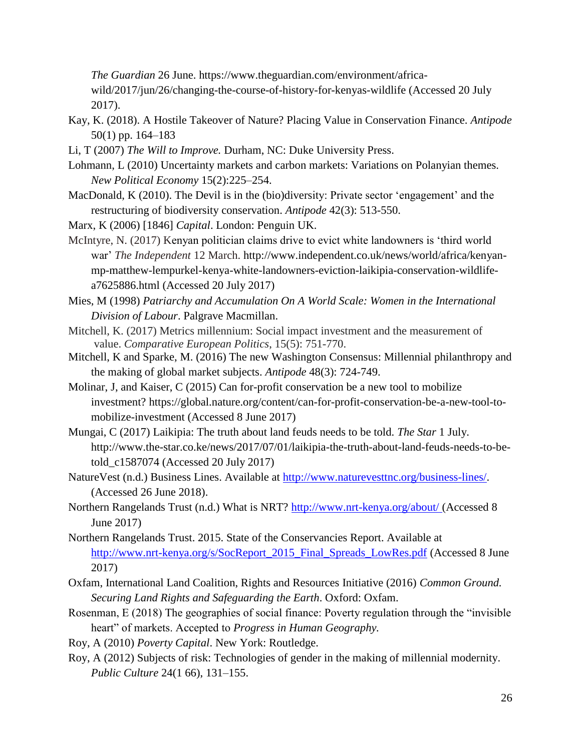*The Guardian* 26 June. https://www.theguardian.com/environment/africawild/2017/jun/26/changing-the-course-of-history-for-kenyas-wildlife (Accessed 20 July 2017).

- Kay, K. (2018). A Hostile Takeover of Nature? Placing Value in Conservation Finance. *Antipode* 50(1) pp. 164–183
- Li, T (2007) *The Will to Improve.* Durham, NC: Duke University Press.
- Lohmann, L (2010) Uncertainty markets and carbon markets: Variations on Polanyian themes. *New Political Economy* 15(2):225–254.
- MacDonald, K (2010). The Devil is in the (bio)diversity: Private sector 'engagement' and the restructuring of biodiversity conservation. *Antipode* 42(3): 513-550.
- Marx, K (2006) [1846] *Capital*. London: Penguin UK.
- McIntyre, N. (2017) Kenyan politician claims drive to evict white landowners is 'third world war' *The Independent* 12 March. http://www.independent.co.uk/news/world/africa/kenyanmp-matthew-lempurkel-kenya-white-landowners-eviction-laikipia-conservation-wildlifea7625886.html (Accessed 20 July 2017)
- Mies, M (1998) *Patriarchy and Accumulation On A World Scale: Women in the International Division of Labour*. Palgrave Macmillan.
- Mitchell, K. (2017) Metrics millennium: Social impact investment and the measurement of value. *Comparative European Politics*, 15(5): 751-770.
- Mitchell, K and Sparke, M. (2016) The new Washington Consensus: Millennial philanthropy and the making of global market subjects. *Antipode* 48(3): 724-749.
- Molinar, J, and Kaiser, C (2015) Can for-profit conservation be a new tool to mobilize investment? https://global.nature.org/content/can-for-profit-conservation-be-a-new-tool-tomobilize-investment (Accessed 8 June 2017)
- Mungai, C (2017) Laikipia: The truth about land feuds needs to be told. *The Star* 1 July. http://www.the-star.co.ke/news/2017/07/01/laikipia-the-truth-about-land-feuds-needs-to-betold\_c1587074 (Accessed 20 July 2017)
- NatureVest (n.d.) Business Lines. Available at [http://www.naturevesttnc.org/business-lines/.](http://www.naturevesttnc.org/business-lines/) (Accessed 26 June 2018).
- Northern Rangelands Trust (n.d.) What is NRT?<http://www.nrt-kenya.org/about/> (Accessed 8 June 2017)
- Northern Rangelands Trust. 2015. State of the Conservancies Report. Available at [http://www.nrt-kenya.org/s/SocReport\\_2015\\_Final\\_Spreads\\_LowRes.pdf](http://www.nrt-kenya.org/s/SocReport_2015_Final_Spreads_LowRes.pdf) (Accessed 8 June 2017)
- Oxfam, International Land Coalition, Rights and Resources Initiative (2016) *Common Ground. Securing Land Rights and Safeguarding the Earth*. Oxford: Oxfam.
- Rosenman, E (2018) The geographies of social finance: Poverty regulation through the "invisible heart" of markets. Accepted to *Progress in Human Geography.*
- Roy, A (2010) *Poverty Capital*. New York: Routledge.
- Roy, A (2012) Subjects of risk: Technologies of gender in the making of millennial modernity. *Public Culture* 24(1 66), 131–155.